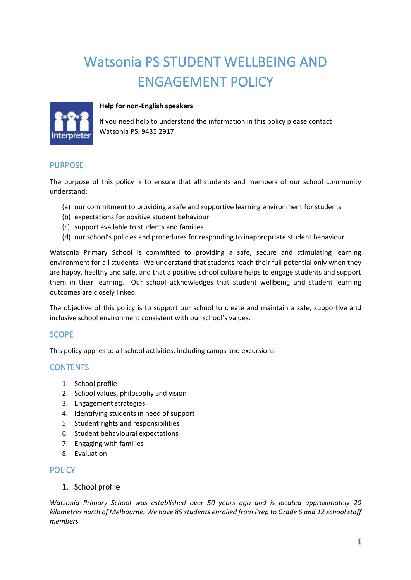# Watsonia PS STUDENT WELLBEING AND ENGAGEMENT POLICY



## **Help for non-English speakers**

If you need help to understand the information in this policy please contact Watsonia PS: 9435 2917.

# PURPOSE

The purpose of this policy is to ensure that all students and members of our school community understand:

- (a) our commitment to providing a safe and supportive learning environment for students
- (b) expectations for positive student behaviour
- (c) support available to students and families
- (d) our school's policies and procedures for responding to inappropriate student behaviour.

Watsonia Primary School is committed to providing a safe, secure and stimulating learning environment for all students. We understand that students reach their full potential only when they are happy, healthy and safe, and that a positive school culture helps to engage students and support them in their learning. Our school acknowledges that student wellbeing and student learning outcomes are closely linked.

The objective of this policy is to support our school to create and maintain a safe, supportive and inclusive school environment consistent with our school's values.

# **SCOPE**

This policy applies to all school activities, including camps and excursions.

# **CONTENTS**

- 1. School profile
- 2. School values, philosophy and vision
- 3. Engagement strategies
- 4. Identifying students in need of support
- 5. Student rights and responsibilities
- 6. Student behavioural expectations
- 7. Engaging with families
- 8. Evaluation

# **POLICY**

## 1. School profile

*Watsonia Primary School was established over 50 years ago and is located approximately 20 kilometres north of Melbourne. We have 85 students enrolled from Prep to Grade 6 and 12 school staff members.*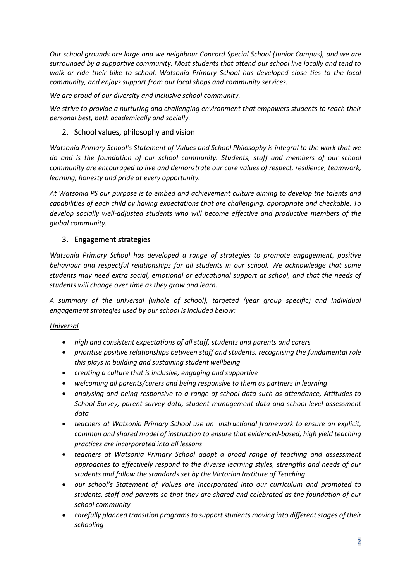*Our school grounds are large and we neighbour Concord Special School (Junior Campus), and we are surrounded by a supportive community. Most students that attend our school live locally and tend to walk or ride their bike to school. Watsonia Primary School has developed close ties to the local community, and enjoys support from our local shops and community services.* 

*We are proud of our diversity and inclusive school community.* 

*We strive to provide a nurturing and challenging environment that empowers students to reach their personal best, both academically and socially.*

# 2. School values, philosophy and vision

*Watsonia Primary School's Statement of Values and School Philosophy is integral to the work that we do and is the foundation of our school community. Students, staff and members of our school community are encouraged to live and demonstrate our core values of respect, resilience, teamwork, learning, honesty and pride at every opportunity.* 

*At Watsonia PS our purpose is to embed and achievement culture aiming to develop the talents and capabilities of each child by having expectations that are challenging, appropriate and checkable. To develop socially well-adjusted students who will become effective and productive members of the global community.*

# 3. Engagement strategies

*Watsonia Primary School has developed a range of strategies to promote engagement, positive behaviour and respectful relationships for all students in our school. We acknowledge that some students may need extra social, emotional or educational support at school, and that the needs of students will change over time as they grow and learn.* 

*A summary of the universal (whole of school), targeted (year group specific) and individual engagement strategies used by our school is included below:*

#### *Universal*

- *high and consistent expectations of all staff, students and parents and carers*
- *prioritise positive relationships between staff and students, recognising the fundamental role this plays in building and sustaining student wellbeing*
- *creating a culture that is inclusive, engaging and supportive*
- *welcoming all parents/carers and being responsive to them as partners in learning*
- *analysing and being responsive to a range of school data such as attendance, Attitudes to School Survey, parent survey data, student management data and school level assessment data*
- *teachers at Watsonia Primary School use an instructional framework to ensure an explicit, common and shared model of instruction to ensure that evidenced-based, high yield teaching practices are incorporated into all lessons*
- *teachers at Watsonia Primary School adopt a broad range of teaching and assessment approaches to effectively respond to the diverse learning styles, strengths and needs of our students and follow the standards set by the Victorian Institute of Teaching*
- *our school's Statement of Values are incorporated into our curriculum and promoted to students, staff and parents so that they are shared and celebrated as the foundation of our school community*
- *carefully planned transition programs to support students moving into different stages of their schooling*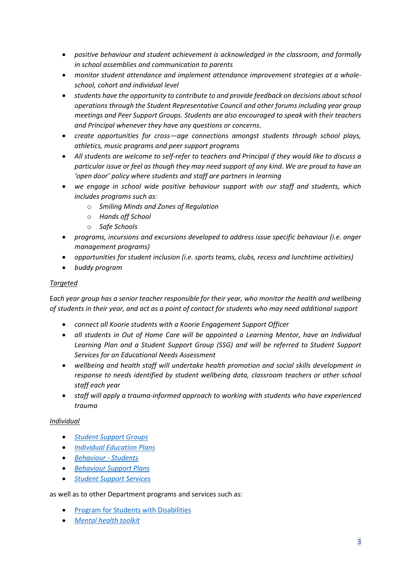- *positive behaviour and student achievement is acknowledged in the classroom, and formally in school assemblies and communication to parents*
- *monitor student attendance and implement attendance improvement strategies at a wholeschool, cohort and individual level*
- *students have the opportunity to contribute to and provide feedback on decisions aboutschool operations through the Student Representative Council and other forums including year group meetings and Peer Support Groups. Students are also encouraged to speak with their teachers and Principal whenever they have any questions or concerns.*
- *create opportunities for cross—age connections amongst students through school plays, athletics, music programs and peer support programs*
- *All students are welcome to self-refer to teachers and Principal if they would like to discuss a particular issue or feel as though they may need support of any kind. We are proud to have an 'open door' policy where students and staff are partners in learning*
- *we engage in school wide positive behaviour support with our staff and students, which includes programs such as:*
	- o *Smiling Minds and Zones of Regulation*
	- o *Hands off School*
	- o *Safe Schools*
- *programs, incursions and excursions developed to address issue specific behaviour (i.e. anger management programs)*
- *opportunities for student inclusion (i.e. sports teams, clubs, recess and lunchtime activities)*
- *buddy program*

#### *Targeted*

E*ach year group has a senior teacher responsible for their year, who monitor the health and wellbeing of students in their year, and act as a point of contact for students who may need additional support*

- *connect all Koorie students with a Koorie Engagement Support Officer*
- *all students in Out of Home Care will be appointed a Learning Mentor, have an Individual Learning Plan and a Student Support Group (SSG) and will be referred to Student Support Services for an Educational Needs Assessment*
- *wellbeing and health staff will undertake health promotion and social skills development in response to needs identified by student wellbeing data, classroom teachers or other school staff each year*
- *staff will apply a trauma-informed approach to working with students who have experienced trauma*

#### *Individual*

- *[Student Support Groups](https://www2.education.vic.gov.au/pal/student-support-groups/policy)*
- *[Individual Education Plans](https://www2.education.vic.gov.au/pal/individual-education-plans-ieps/policy)*
- *[Behaviour -](https://www2.education.vic.gov.au/pal/behaviour-students/policy) Students*
- *[Behaviour Support Plans](https://www2.education.vic.gov.au/pal/behaviour-students/guidance/6-behaviour-support-plans)*
- *[Student Support Services](https://www2.education.vic.gov.au/pal/student-support-services/policy)*

#### as well as to other Department programs and services such as:

- [Program for Students with Disabilities](https://www.education.vic.gov.au/school/teachers/learningneeds/Pages/psd.aspx)
- *[Mental health toolkit](https://www.education.vic.gov.au/school/teachers/health/mentalhealth/Pages/mentalhealthtoolkit.aspx)*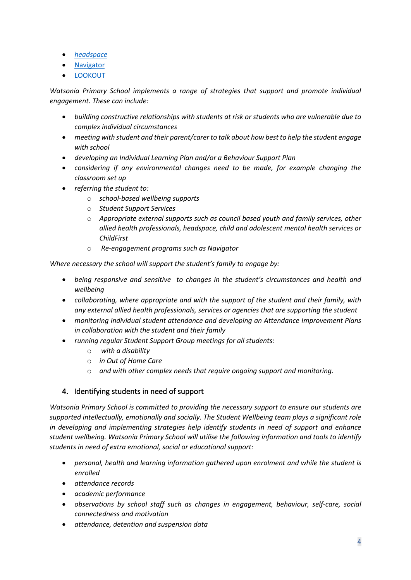- *[headspace](https://www.education.vic.gov.au/school/teachers/health/mentalhealth/Pages/headspace-counselling-secondary.aspx)*
- [Navigator](https://www.education.vic.gov.au/school/teachers/behaviour/engagement/Pages/navigator.aspx)
- [LOOKOUT](https://www.education.vic.gov.au/about/programs/Pages/lookout.aspx)

*Watsonia Primary School implements a range of strategies that support and promote individual engagement. These can include:*

- *building constructive relationships with students at risk or students who are vulnerable due to complex individual circumstances*
- *meeting with student and their parent/carer to talk about how best to help the student engage with school*
- *developing an Individual Learning Plan and/or a Behaviour Support Plan*
- *considering if any environmental changes need to be made, for example changing the classroom set up*
- *referring the student to:*
	- o *school-based wellbeing supports*
	- o *Student Support Services*
	- o *Appropriate external supports such as council based youth and family services, other allied health professionals, headspace, child and adolescent mental health services or ChildFirst*
	- o *Re-engagement programs such as Navigator*

*Where necessary the school will support the student's family to engage by:*

- *being responsive and sensitive to changes in the student's circumstances and health and wellbeing*
- *collaborating, where appropriate and with the support of the student and their family, with any external allied health professionals, services or agencies that are supporting the student*
- *monitoring individual student attendance and developing an Attendance Improvement Plans in collaboration with the student and their family*
- *running regular Student Support Group meetings for all students:*
	- o *with a disability*
	- o *in Out of Home Care*
	- o *and with other complex needs that require ongoing support and monitoring.*

# 4. Identifying students in need of support

*Watsonia Primary School is committed to providing the necessary support to ensure our students are supported intellectually, emotionally and socially. The Student Wellbeing team plays a significant role in developing and implementing strategies help identify students in need of support and enhance student wellbeing. Watsonia Primary School will utilise the following information and tools to identify students in need of extra emotional, social or educational support:*

- *personal, health and learning information gathered upon enrolment and while the student is enrolled*
- *attendance records*
- *academic performance*
- *observations by school staff such as changes in engagement, behaviour, self-care, social connectedness and motivation*
- *attendance, detention and suspension data*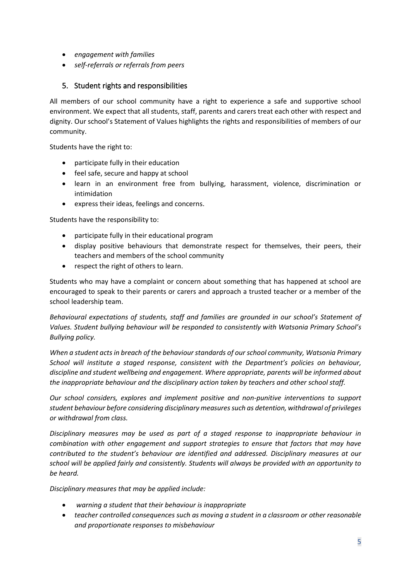- *engagement with families*
- *self-referrals or referrals from peers*

# 5. Student rights and responsibilities

All members of our school community have a right to experience a safe and supportive school environment. We expect that all students, staff, parents and carers treat each other with respect and dignity. Our school's Statement of Values highlights the rights and responsibilities of members of our community.

Students have the right to:

- participate fully in their education
- feel safe, secure and happy at school
- learn in an environment free from bullying, harassment, violence, discrimination or intimidation
- express their ideas, feelings and concerns.

Students have the responsibility to:

- participate fully in their educational program
- display positive behaviours that demonstrate respect for themselves, their peers, their teachers and members of the school community
- respect the right of others to learn.

Students who may have a complaint or concern about something that has happened at school are encouraged to speak to their parents or carers and approach a trusted teacher or a member of the school leadership team.

*Behavioural expectations of students, staff and families are grounded in our school's Statement of Values. Student bullying behaviour will be responded to consistently with Watsonia Primary School's Bullying policy.* 

*When a student acts in breach of the behaviour standards of our school community, Watsonia Primary School will institute a staged response, consistent with the Department's policies on behaviour, discipline and student wellbeing and engagement. Where appropriate, parents will be informed about the inappropriate behaviour and the disciplinary action taken by teachers and other school staff.* 

*Our school considers, explores and implement positive and non-punitive interventions to support student behaviour before considering disciplinary measures such as detention, withdrawal of privileges or withdrawal from class.*

*Disciplinary measures may be used as part of a staged response to inappropriate behaviour in combination with other engagement and support strategies to ensure that factors that may have contributed to the student's behaviour are identified and addressed. Disciplinary measures at our school will be applied fairly and consistently. Students will always be provided with an opportunity to be heard.* 

*Disciplinary measures that may be applied include:*

- *warning a student that their behaviour is inappropriate*
- *teacher controlled consequences such as moving a student in a classroom or other reasonable and proportionate responses to misbehaviour*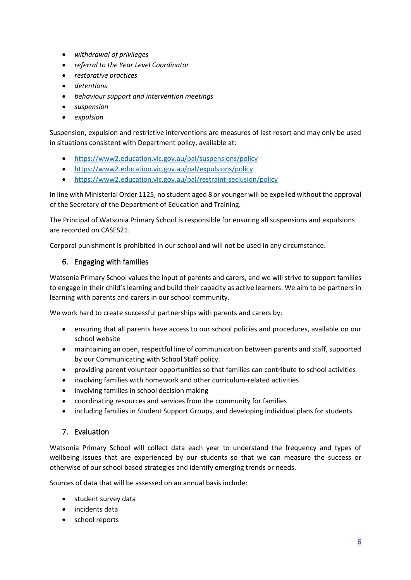- *withdrawal of privileges*
- *referral to the Year Level Coordinator*
- *restorative practices*
- *detentions*
- *behaviour support and intervention meetings*
- *suspension*
- *expulsion*

Suspension, expulsion and restrictive interventions are measures of last resort and may only be used in situations consistent with Department policy, available at:

- <https://www2.education.vic.gov.au/pal/suspensions/policy>
- <https://www2.education.vic.gov.au/pal/expulsions/policy>
- <https://www2.education.vic.gov.au/pal/restraint-seclusion/policy>

In line with Ministerial Order 1125, no student aged 8 or younger will be expelled without the approval of the Secretary of the Department of Education and Training.

The Principal of Watsonia Primary School is responsible for ensuring all suspensions and expulsions are recorded on CASES21.

Corporal punishment is prohibited in our school and will not be used in any circumstance.

## 6. Engaging with families

Watsonia Primary School values the input of parents and carers, and we will strive to support families to engage in their child's learning and build their capacity as active learners. We aim to be partners in learning with parents and carers in our school community.

We work hard to create successful partnerships with parents and carers by:

- ensuring that all parents have access to our school policies and procedures, available on our school website
- maintaining an open, respectful line of communication between parents and staff, supported by our Communicating with School Staff policy.
- providing parent volunteer opportunities so that families can contribute to school activities
- involving families with homework and other curriculum-related activities
- involving families in school decision making
- coordinating resources and services from the community for families
- including families in Student Support Groups, and developing individual plans for students.

#### 7. Evaluation

Watsonia Primary School will collect data each year to understand the frequency and types of wellbeing issues that are experienced by our students so that we can measure the success or otherwise of our school based strategies and identify emerging trends or needs.

Sources of data that will be assessed on an annual basis include:

- student survey data
- incidents data
- school reports